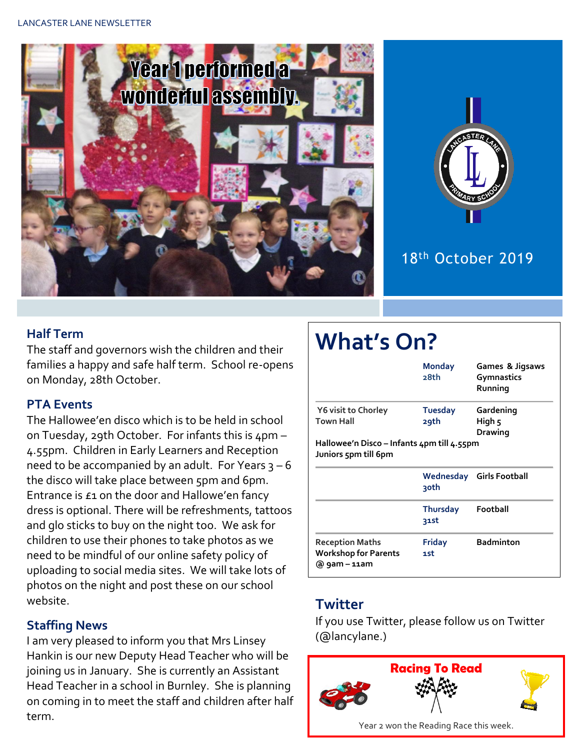



## 18th October 2019

#### **Half Term**

The staff and governors wish the children and their families a happy and safe half term. School re-opens on Monday, 28th October.

#### **PTA Events**

The Hallowee'en disco which is to be held in school on Tuesday, 29th October. For infants this is 4pm – 4.55pm. Children in Early Learners and Reception need to be accompanied by an adult. For Years  $3 - 6$ the disco will take place between 5pm and 6pm. Entrance is £1 on the door and Hallowe'en fancy dress is optional. There will be refreshments, tattoos and glo sticks to buy on the night too. We ask for children to use their phones to take photos as we need to be mindful of our online safety policy of uploading to social media sites. We will take lots of photos on the night and post these on our school website.

#### **Staffing News**

I am very pleased to inform you that Mrs Linsey Hankin is our new Deputy Head Teacher who will be joining us in January. She is currently an Assistant Head Teacher in a school in Burnley. She is planning on coming in to meet the staff and children after half term.

# **What's On?**

|                                                                    | <b>Monday</b><br>28th  | Games & Jigsaws<br><b>Gymnastics</b><br>Running |
|--------------------------------------------------------------------|------------------------|-------------------------------------------------|
| <b>Y6 visit to Chorley</b><br><b>Town Hall</b>                     | <b>Tuesday</b><br>29th | Gardening<br>High 5<br>Drawing                  |
| Hallowee'n Disco – Infants 4pm till 4.55pm<br>Juniors 5pm till 6pm |                        |                                                 |
|                                                                    |                        |                                                 |
|                                                                    | 30th                   | Wednesday Girls Football                        |
|                                                                    | Thursday<br>31st       | Football                                        |

#### **Twitter**

If you use Twitter, please follow us on Twitter (@lancylane.)

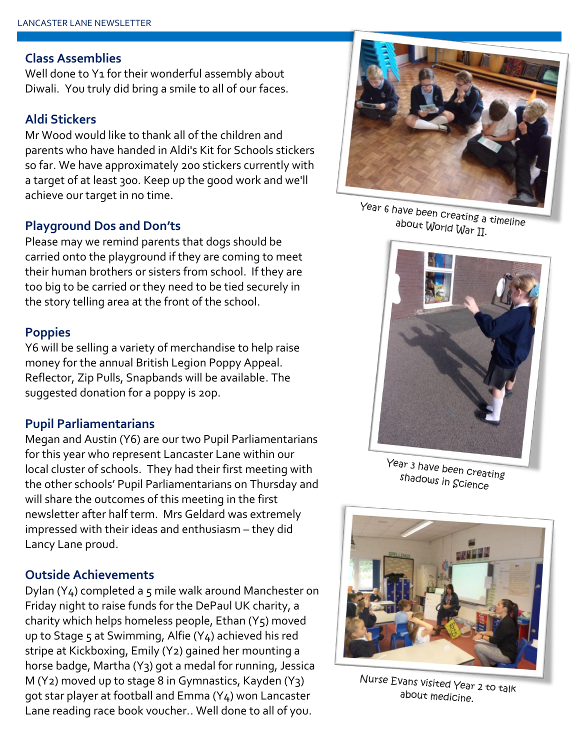#### **Class Assemblies**

Well done to Y<sub>1</sub> for their wonderful assembly about Diwali. You truly did bring a smile to all of our faces.

#### **Aldi Stickers**

Mr Wood would like to thank all of the children and parents who have handed in Aldi's Kit for Schools stickers so far. We have approximately 200 stickers currently with a target of at least 300. Keep up the good work and we'll achieve our target in no time.

#### **Playground Dos and Don'ts**

Please may we remind parents that dogs should be carried onto the playground if they are coming to meet their human brothers or sisters from school. If they are too big to be carried or they need to be tied securely in the story telling area at the front of the school.

#### **Poppies**

Y6 will be selling a variety of merchandise to help raise money for the annual British Legion Poppy Appeal. Reflector, Zip Pulls, Snapbands will be available. The suggested donation for a poppy is 20p.

#### **Pupil Parliamentarians**

Megan and Austin (Y6) are our two Pupil Parliamentarians for this year who represent Lancaster Lane within our local cluster of schools. They had their first meeting with the other schools' Pupil Parliamentarians on Thursday and will share the outcomes of this meeting in the first newsletter after half term. Mrs Geldard was extremely impressed with their ideas and enthusiasm – they did Lancy Lane proud.

#### **Outside Achievements**

Dylan (Y4) completed a 5 mile walk around Manchester on Friday night to raise funds for the DePaul UK charity, a charity which helps homeless people, Ethan  $(Y_5)$  moved up to Stage 5 at Swimming, Alfie  $(Y_4)$  achieved his red stripe at Kickboxing, Emily (Y2) gained her mounting a horse badge, Martha (Y3) got a medal for running, Jessica M (Y2) moved up to stage 8 in Gymnastics, Kayden (Y3) got star player at football and Emma (Y4) won Lancaster Lane reading race book voucher.. Well done to all of you.



Year 6 have been creating a timeline about World War II.



Year 3 have been creating shadows in Science



Nurse Evans visited Year 2 to talk about medicine.